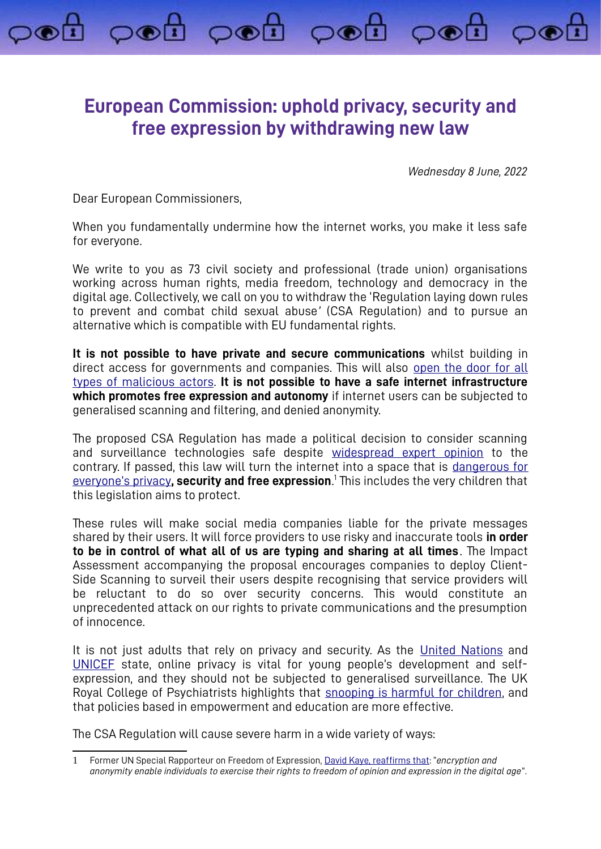## **European Commission: uphold privacy, security and free expression by withdrawing new law**

pod pod pod pod

*Wednesday 8 June, 2022*

Dear European Commissioners,

When you fundamentally undermine how the internet works, you make it less safe for everyone.

We write to you as 73 civil society and professional (trade union) organisations working across human rights, media freedom, technology and democracy in the digital age. Collectively, we call on you to withdraw the 'Regulation laying down rules to prevent and combat child sexual abuse*'* (CSA Regulation) and to pursue an alternative which is compatible with EU fundamental rights.

**It is not possible to have private and secure communications** whilst building in direct access for governments and companies. This will also [open the door for all](https://arxiv.org/abs/2110.07450)  [types of](https://arxiv.org/abs/2110.07450) [malicious actors.](https://arxiv.org/abs/2110.07450) **It is not possible to have a safe internet infrastructure which promotes free expression and autonomy** if internet users can be subjected to generalised scanning and filtering, and denied anonymity.

<span id="page-0-0"></span>The proposed CSA Regulation has made a political decision to consider scanning and surveillance technologies safe despite [widespread expert opinion](https://www.globalencryption.org/2022/05/joint-statement-on-the-dangers-of-the-eus-proposed-regulation-for-fighting-child-sexual-abuse-online/) to the contrary. If passed, this law will turn the internet into a space that is [dangerous for](https://europeanlawblog.eu/2022/06/07/does-monitoring-your-phone-affect-the-essence-of-privacy/) [everyone's privacy](https://europeanlawblog.eu/2022/06/07/does-monitoring-your-phone-affect-the-essence-of-privacy/)**, security and free expression**. [1](#page-0-1) This includes the very children that this legislation aims to protect.

These rules will make social media companies liable for the private messages shared by their users. It will force providers to use risky and inaccurate tools **in order to be in control of what all of us are typing and sharing at all times**. The Impact Assessment accompanying the proposal encourages companies to deploy Client-Side Scanning to surveil their users despite recognising that service providers will be reluctant to do so over security concerns. This would constitute an unprecedented attack on our rights to private communications and the presumption of innocence.

It is not just adults that rely on privacy and security. As the [United Nations](https://www.ohchr.org/en/documents/general-comments-and-recommendations/general-comment-no-25-2021-childrens-rights-relation) and [UNICEF](https://sites.unicef.org/csr/files/UNICEF_Childrens_Online_Privacy_and_Freedom_of_Expression(1).pdf) state, online privacy is vital for young people's development and selfexpression, and they should not be subjected to generalised surveillance. The UK Royal College of Psychiatrists highlights that snooping is harmful for children, and that policies based in empowerment and education are more effective.

The CSA Regulation will cause severe harm in a wide variety of ways:

<span id="page-0-1"></span>[<sup>1</sup>](#page-0-0) Former UN Special Rapporteur on Freedom of Expression, [David Kaye,](https://digitallibrary.un.org/record/798709?ln=en) reaffirms that: "*encryption and anonymity enable individuals to exercise their rights to freedom of opinion and expression in the digital age*".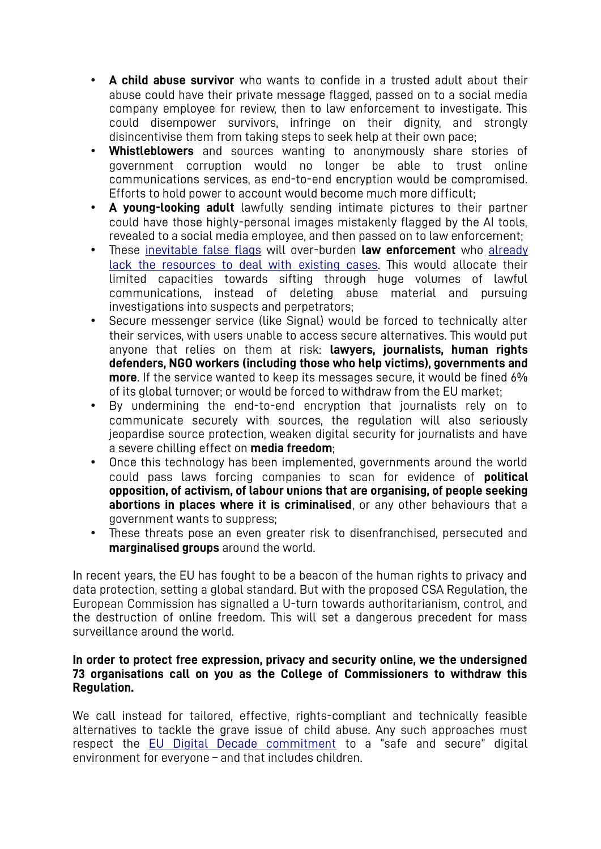- **A child abuse survivor** who wants to confide in a trusted adult about their abuse could have their private message flagged, passed on to a social media company employee for review, then to law enforcement to investigate. This could disempower survivors, infringe on their dignity, and strongly disincentivise them from taking steps to seek help at their own pace;
- **Whistleblowers** and sources wanting to anonymously share stories of government corruption would no longer be able to trust online communications services, as end-to-end encryption would be compromised. Efforts to hold power to account would become much more difficult;
- **A young-looking adult** lawfully sending intimate pictures to their partner could have those highly-personal images mistakenly flagged by the AI tools, revealed to a social media employee, and then passed on to law enforcement;
- These [inevitable false flags](https://edri.org/our-work/internal-documents-revealed-the-worst-for-private-communications-in-the-eu-how-will-the-commissioners-respond/) will over-burden **law enforcement** who [already](https://netzpolitik.org/2022/depictions-of-child-abuse-the-internet-forgets-nothing-as-long-as-its-not-supposed-to-forget/)  [lack the resources to deal with existing cases](https://netzpolitik.org/2022/depictions-of-child-abuse-the-internet-forgets-nothing-as-long-as-its-not-supposed-to-forget/). This would allocate their limited capacities towards sifting through huge volumes of lawful communications, instead of deleting abuse material and pursuing investigations into suspects and perpetrators;
- Secure messenger service (like Signal) would be forced to technically alter their services, with users unable to access secure alternatives. This would put anyone that relies on them at risk: **lawyers, journalists, human rights defenders, NGO workers (including those who help victims), governments and more**. If the service wanted to keep its messages secure, it would be fined 6% of its global turnover; or would be forced to withdraw from the EU market;
- By undermining the end-to-end encryption that journalists rely on to communicate securely with sources, the regulation will also seriously jeopardise source protection, weaken digital security for journalists and have a severe chilling effect on **media freedom**;
- Once this technology has been implemented, governments around the world could pass laws forcing companies to scan for evidence of **political opposition, of activism, of labour unions that are organising, of people seeking abortions in places where it is criminalised**, or any other behaviours that a government wants to suppress;
- These threats pose an even greater risk to disenfranchised, persecuted and **marginalised groups** around the world.

In recent years, the EU has fought to be a beacon of the human rights to privacy and data protection, setting a global standard. But with the proposed CSA Regulation, the European Commission has signalled a U-turn towards authoritarianism, control, and the destruction of online freedom. This will set a dangerous precedent for mass surveillance around the world.

## **In order to protect free expression, privacy and security online, we the undersigned 73 organisations call on you as the College of Commissioners to withdraw this Regulation.**

We call instead for tailored, effective, rights-compliant and technically feasible alternatives to tackle the grave issue of child abuse. Any such approaches must respect the [EU Digital Decade commitment](https://ec.europa.eu/info/strategy/priorities-2019-2024/europe-fit-digital-age/europes-digital-decade-digital-targets-2030_en) to a "safe and secure" digital environment for everyone – and that includes children.